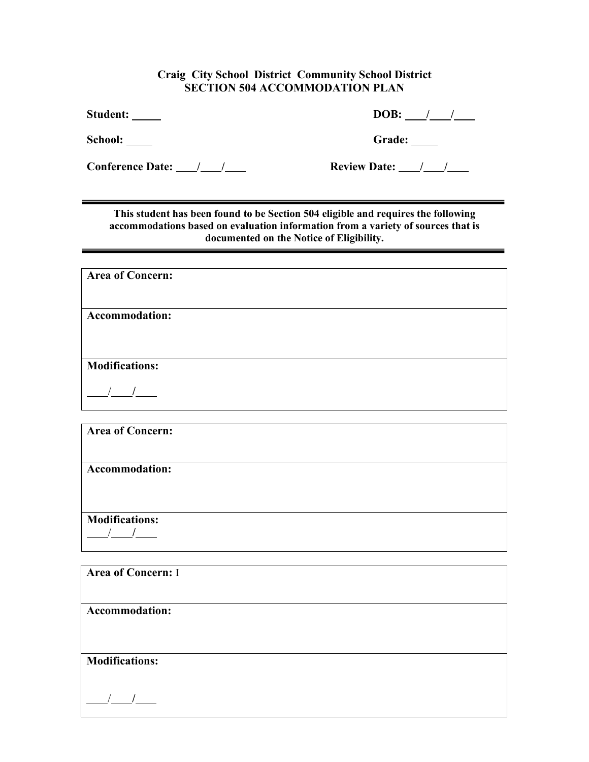## **Craig City School District Community School District SECTION 504 ACCOMMODATION PLAN**

**Student: DOB: / /**

School: Grade: Grade: Grade: Grade: Grade: Grade: Grade: Grade: Grade: Grade: Grade: Grade: Grade: Grade: Grade: Grade: Grade: Grade: Grade: Grade: Grade: Grade: Grade: Grade: Grade: Grade: Grade: Grade: Grade: Grade: Grad

**Conference Date:** <u>**/ /** */* **<b>Review Date: / /** */*</u>

**This student has been found to be Section 504 eligible and requires the following accommodations based on evaluation information from a variety of sources that is documented on the Notice of Eligibility.**

| <b>Area of Concern:</b> |
|-------------------------|
|                         |
|                         |
| Accommodation:          |
|                         |
|                         |
|                         |
| <b>Modifications:</b>   |
|                         |
|                         |
|                         |

| <b>Area of Concern: I</b> |  |
|---------------------------|--|
| Accommodation:            |  |
| <b>Modifications:</b>     |  |
|                           |  |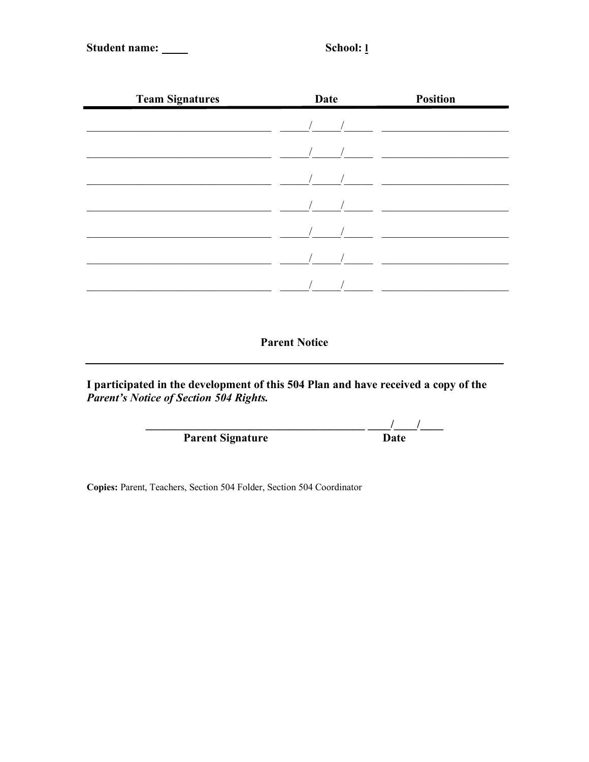Student name: \_\_\_\_

School: 1

| <b>Team Signatures</b> | <b>Date</b> | <b>Position</b>                                                                                                                                                                                                                                                                               |
|------------------------|-------------|-----------------------------------------------------------------------------------------------------------------------------------------------------------------------------------------------------------------------------------------------------------------------------------------------|
|                        |             |                                                                                                                                                                                                                                                                                               |
|                        |             | $\frac{1}{2}$ and $\frac{1}{2}$ and $\frac{1}{2}$ and $\frac{1}{2}$ and $\frac{1}{2}$ and $\frac{1}{2}$ and $\frac{1}{2}$ and $\frac{1}{2}$ and $\frac{1}{2}$ and $\frac{1}{2}$ and $\frac{1}{2}$ and $\frac{1}{2}$ and $\frac{1}{2}$ and $\frac{1}{2}$ and $\frac{1}{2}$ and $\frac{1}{2}$ a |
|                        |             |                                                                                                                                                                                                                                                                                               |
|                        |             |                                                                                                                                                                                                                                                                                               |
|                        |             |                                                                                                                                                                                                                                                                                               |
|                        |             |                                                                                                                                                                                                                                                                                               |
|                        |             |                                                                                                                                                                                                                                                                                               |
|                        |             |                                                                                                                                                                                                                                                                                               |

**Parent Notice** 

I participated in the development of this 504 Plan and have received a copy of the *Parent's Notice of Section 504 Rights*.

| <b>Parent Signature</b> | Date |
|-------------------------|------|

Copies: Parent, Teachers, Section 504 Folder, Section 504 Coordinator

 $\overline{\phantom{0}}$